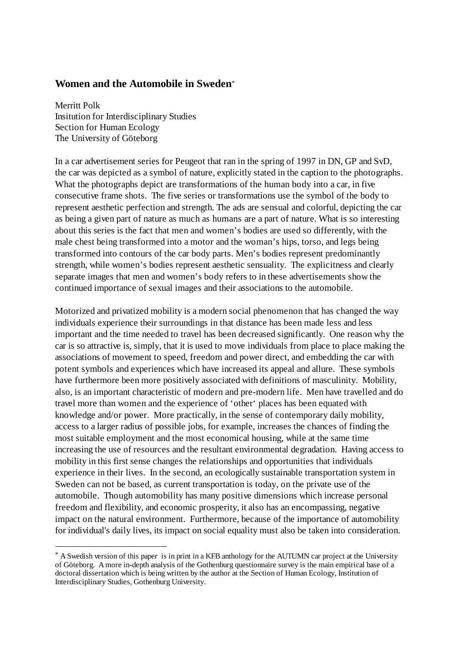# **Women and the Automobile in Sweden**\*

Merritt Polk Insitution for Interdisciplinary Studies Section for Human Ecology The University of Göteborg

 $\overline{a}$ 

In a car advertisement series for Peugeot that ran in the spring of 1997 in DN, GP and SvD, the car was depicted as a symbol of nature, explicitly stated in the caption to the photographs. What the photographs depict are transformations of the human body into a car, in five consecutive frame shots. The five series or transformations use the symbol of the body to represent aesthetic perfection and strength. The ads are sensual and colorful, depicting the car as being a given part of nature as much as humans are a part of nature. What is so interesting about this series is the fact that men and women's bodies are used so differently, with the male chest being transformed into a motor and the woman's hips, torso, and legs being transformed into contours of the car body parts. Men's bodies represent predominantly strength, while women's bodies represent aesthetic sensuality. The explicitness and clearly separate images that men and women's body refers to in these advertisements show the continued importance of sexual images and their associations to the automobile.

Motorized and privatized mobility is a modern social phenomenon that has changed the way individuals experience their surroundings in that distance has been made less and less important and the time needed to travel has been decreased significantly. One reason why the car is so attractive is, simply, that it is used to move individuals from place to place making the associations of movement to speed, freedom and power direct, and embedding the car with potent symbols and experiences which have increased its appeal and allure. These symbols have furthermore been more positively associated with definitions of masculinity. Mobility, also, is an important characteristic of modern and pre-modern life. Men have travelled and do travel more than women and the experience of 'other' places has been equated with knowledge and/or power. More practically, in the sense of contemporary daily mobility, access to a larger radius of possible jobs, for example, increases the chances of finding the most suitable employment and the most economical housing, while at the same time increasing the use of resources and the resultant environmental degradation. Having access to mobility in this first sense changes the relationships and opportunities that individuals experience in their lives. In the second, an ecologically sustainable transportation system in Sweden can not be based, as current transportation is today, on the private use of the automobile. Though automobility has many positive dimensions which increase personal freedom and flexibility, and economic prosperity, it also has an encompassing, negative impact on the natural environment. Furthermore, because of the importance of automobility for individual's daily lives, its impact on social equality must also be taken into consideration.

<sup>\*</sup> A Swedish version of this paper is in print in a KFB anthology for the AUTUMN car project at the University of Göteborg. A more in-depth analysis of the Gothenburg questionnaire survey is the main empirical base of a doctoral dissertation which is being written by the author at the Section of Human Ecology, Institution of Interdisciplinary Studies, Gothenburg University.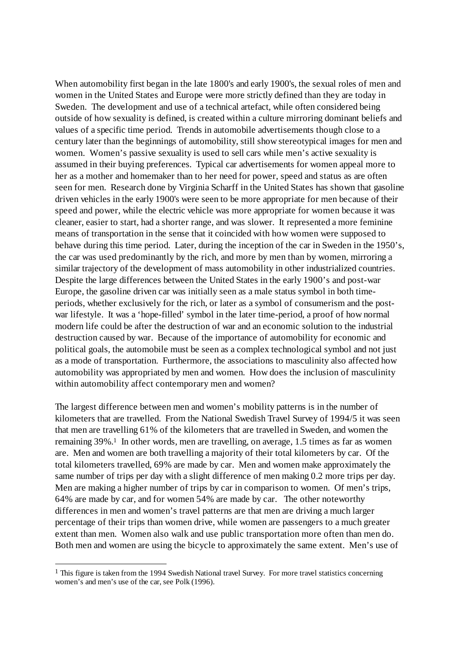When automobility first began in the late 1800's and early 1900's, the sexual roles of men and women in the United States and Europe were more strictly defined than they are today in Sweden. The development and use of a technical artefact, while often considered being outside of how sexuality is defined, is created within a culture mirroring dominant beliefs and values of a specific time period. Trends in automobile advertisements though close to a century later than the beginnings of automobility, still show stereotypical images for men and women. Women's passive sexuality is used to sell cars while men's active sexuality is assumed in their buying preferences. Typical car advertisements for women appeal more to her as a mother and homemaker than to her need for power, speed and status as are often seen for men. Research done by Virginia Scharff in the United States has shown that gasoline driven vehicles in the early 1900's were seen to be more appropriate for men because of their speed and power, while the electric vehicle was more appropriate for women because it was cleaner, easier to start, had a shorter range, and was slower. It represented a more feminine means of transportation in the sense that it coincided with how women were supposed to behave during this time period. Later, during the inception of the car in Sweden in the 1950's, the car was used predominantly by the rich, and more by men than by women, mirroring a similar trajectory of the development of mass automobility in other industrialized countries. Despite the large differences between the United States in the early 1900's and post-war Europe, the gasoline driven car was initially seen as a male status symbol in both timeperiods, whether exclusively for the rich, or later as a symbol of consumerism and the postwar lifestyle. It was a 'hope-filled' symbol in the later time-period, a proof of how normal modern life could be after the destruction of war and an economic solution to the industrial destruction caused by war. Because of the importance of automobility for economic and political goals, the automobile must be seen as a complex technological symbol and not just as a mode of transportation. Furthermore, the associations to masculinity also affected how automobility was appropriated by men and women. How does the inclusion of masculinity within automobility affect contemporary men and women?

The largest difference between men and women's mobility patterns is in the number of kilometers that are travelled. From the National Swedish Travel Survey of 1994/5 it was seen that men are travelling 61% of the kilometers that are travelled in Sweden, and women the remaining 39%.1 In other words, men are travelling, on average, 1.5 times as far as women are. Men and women are both travelling a majority of their total kilometers by car. Of the total kilometers travelled, 69% are made by car. Men and women make approximately the same number of trips per day with a slight difference of men making 0.2 more trips per day. Men are making a higher number of trips by car in comparison to women. Of men's trips, 64% are made by car, and for women 54% are made by car. The other noteworthy differences in men and women's travel patterns are that men are driving a much larger percentage of their trips than women drive, while women are passengers to a much greater extent than men. Women also walk and use public transportation more often than men do. Both men and women are using the bicycle to approximately the same extent. Men's use of

 $\overline{a}$ 

 $<sup>1</sup>$  This figure is taken from the 1994 Swedish National travel Survey. For more travel statistics concerning</sup> women's and men's use of the car, see Polk (1996).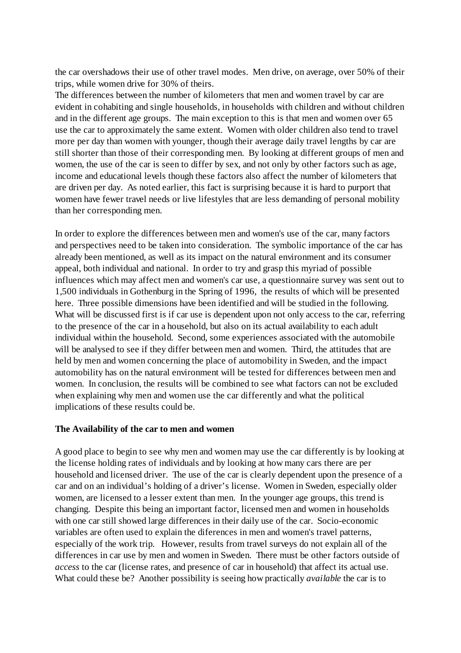the car overshadows their use of other travel modes. Men drive, on average, over 50% of their trips, while women drive for 30% of theirs.

The differences between the number of kilometers that men and women travel by car are evident in cohabiting and single households, in households with children and without children and in the different age groups. The main exception to this is that men and women over 65 use the car to approximately the same extent. Women with older children also tend to travel more per day than women with younger, though their average daily travel lengths by car are still shorter than those of their corresponding men. By looking at different groups of men and women, the use of the car is seen to differ by sex, and not only by other factors such as age, income and educational levels though these factors also affect the number of kilometers that are driven per day. As noted earlier, this fact is surprising because it is hard to purport that women have fewer travel needs or live lifestyles that are less demanding of personal mobility than her corresponding men.

In order to explore the differences between men and women's use of the car, many factors and perspectives need to be taken into consideration. The symbolic importance of the car has already been mentioned, as well as its impact on the natural environment and its consumer appeal, both individual and national. In order to try and grasp this myriad of possible influences which may affect men and women's car use, a questionnaire survey was sent out to 1,500 individuals in Gothenburg in the Spring of 1996, the results of which will be presented here. Three possible dimensions have been identified and will be studied in the following. What will be discussed first is if car use is dependent upon not only access to the car, referring to the presence of the car in a household, but also on its actual availability to each adult individual within the household. Second, some experiences associated with the automobile will be analysed to see if they differ between men and women. Third, the attitudes that are held by men and women concerning the place of automobility in Sweden, and the impact automobility has on the natural environment will be tested for differences between men and women. In conclusion, the results will be combined to see what factors can not be excluded when explaining why men and women use the car differently and what the political implications of these results could be.

### **The Availability of the car to men and women**

A good place to begin to see why men and women may use the car differently is by looking at the license holding rates of individuals and by looking at how many cars there are per household and licensed driver. The use of the car is clearly dependent upon the presence of a car and on an individual's holding of a driver's license. Women in Sweden, especially older women, are licensed to a lesser extent than men. In the younger age groups, this trend is changing. Despite this being an important factor, licensed men and women in households with one car still showed large differences in their daily use of the car. Socio-economic variables are often used to explain the diferences in men and women's travel patterns, especially of the work trip. However, results from travel surveys do not explain all of the differences in car use by men and women in Sweden. There must be other factors outside of *access* to the car (license rates, and presence of car in household) that affect its actual use. What could these be? Another possibility is seeing how practically *available* the car is to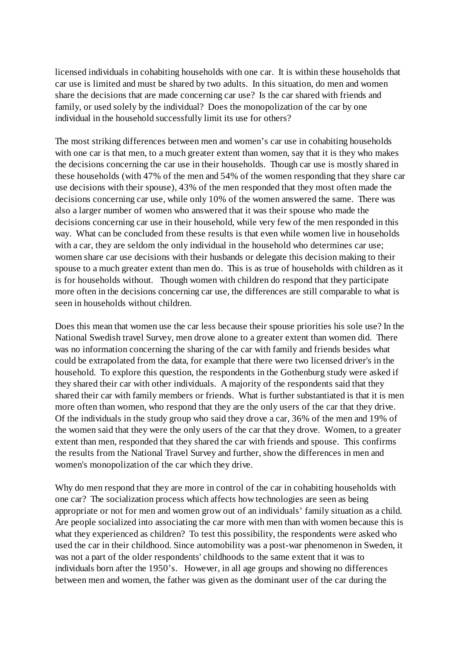licensed individuals in cohabiting households with one car. It is within these households that car use is limited and must be shared by two adults. In this situation, do men and women share the decisions that are made concerning car use? Is the car shared with friends and family, or used solely by the individual? Does the monopolization of the car by one individual in the household successfully limit its use for others?

The most striking differences between men and women's car use in cohabiting households with one car is that men, to a much greater extent than women, say that it is they who makes the decisions concerning the car use in their households. Though car use is mostly shared in these households (with 47% of the men and 54% of the women responding that they share car use decisions with their spouse), 43% of the men responded that they most often made the decisions concerning car use, while only 10% of the women answered the same. There was also a larger number of women who answered that it was their spouse who made the decisions concerning car use in their household, while very few of the men responded in this way. What can be concluded from these results is that even while women live in households with a car, they are seldom the only individual in the household who determines car use; women share car use decisions with their husbands or delegate this decision making to their spouse to a much greater extent than men do. This is as true of households with children as it is for households without. Though women with children do respond that they participate more often in the decisions concerning car use, the differences are still comparable to what is seen in households without children.

Does this mean that women use the car less because their spouse priorities his sole use? In the National Swedish travel Survey, men drove alone to a greater extent than women did. There was no information concerning the sharing of the car with family and friends besides what could be extrapolated from the data, for example that there were two licensed driver's in the household. To explore this question, the respondents in the Gothenburg study were asked if they shared their car with other individuals. A majority of the respondents said that they shared their car with family members or friends. What is further substantiated is that it is men more often than women, who respond that they are the only users of the car that they drive. Of the individuals in the study group who said they drove a car, 36% of the men and 19% of the women said that they were the only users of the car that they drove. Women, to a greater extent than men, responded that they shared the car with friends and spouse. This confirms the results from the National Travel Survey and further, show the differences in men and women's monopolization of the car which they drive.

Why do men respond that they are more in control of the car in cohabiting households with one car? The socialization process which affects how technologies are seen as being appropriate or not for men and women grow out of an individuals' family situation as a child. Are people socialized into associating the car more with men than with women because this is what they experienced as children? To test this possibility, the respondents were asked who used the car in their childhood. Since automobility was a post-war phenomenon in Sweden, it was not a part of the older respondents' childhoods to the same extent that it was to individuals born after the 1950's. However, in all age groups and showing no differences between men and women, the father was given as the dominant user of the car during the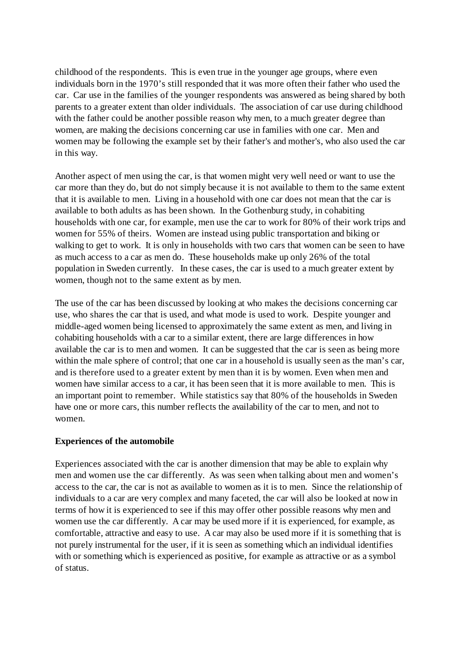childhood of the respondents. This is even true in the younger age groups, where even individuals born in the 1970's still responded that it was more often their father who used the car. Car use in the families of the younger respondents was answered as being shared by both parents to a greater extent than older individuals. The association of car use during childhood with the father could be another possible reason why men, to a much greater degree than women, are making the decisions concerning car use in families with one car. Men and women may be following the example set by their father's and mother's, who also used the car in this way.

Another aspect of men using the car, is that women might very well need or want to use the car more than they do, but do not simply because it is not available to them to the same extent that it is available to men. Living in a household with one car does not mean that the car is available to both adults as has been shown. In the Gothenburg study, in cohabiting households with one car, for example, men use the car to work for 80% of their work trips and women for 55% of theirs. Women are instead using public transportation and biking or walking to get to work. It is only in households with two cars that women can be seen to have as much access to a car as men do. These households make up only 26% of the total population in Sweden currently. In these cases, the car is used to a much greater extent by women, though not to the same extent as by men.

The use of the car has been discussed by looking at who makes the decisions concerning car use, who shares the car that is used, and what mode is used to work. Despite younger and middle-aged women being licensed to approximately the same extent as men, and living in cohabiting households with a car to a similar extent, there are large differences in how available the car is to men and women. It can be suggested that the car is seen as being more within the male sphere of control; that one car in a household is usually seen as the man's car, and is therefore used to a greater extent by men than it is by women. Even when men and women have similar access to a car, it has been seen that it is more available to men. This is an important point to remember. While statistics say that 80% of the households in Sweden have one or more cars, this number reflects the availability of the car to men, and not to women.

## **Experiences of the automobile**

Experiences associated with the car is another dimension that may be able to explain why men and women use the car differently. As was seen when talking about men and women's access to the car, the car is not as available to women as it is to men. Since the relationship of individuals to a car are very complex and many faceted, the car will also be looked at now in terms of how it is experienced to see if this may offer other possible reasons why men and women use the car differently. A car may be used more if it is experienced, for example, as comfortable, attractive and easy to use. A car may also be used more if it is something that is not purely instrumental for the user, if it is seen as something which an individual identifies with or something which is experienced as positive, for example as attractive or as a symbol of status.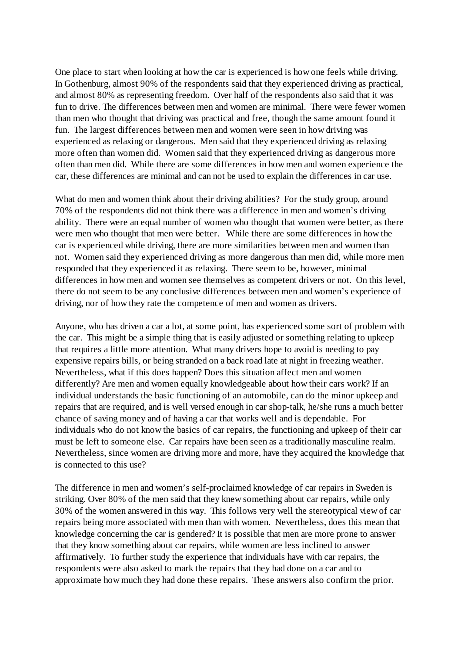One place to start when looking at how the car is experienced is how one feels while driving. In Gothenburg, almost 90% of the respondents said that they experienced driving as practical, and almost 80% as representing freedom. Over half of the respondents also said that it was fun to drive. The differences between men and women are minimal. There were fewer women than men who thought that driving was practical and free, though the same amount found it fun. The largest differences between men and women were seen in how driving was experienced as relaxing or dangerous. Men said that they experienced driving as relaxing more often than women did. Women said that they experienced driving as dangerous more often than men did. While there are some differences in how men and women experience the car, these differences are minimal and can not be used to explain the differences in car use.

What do men and women think about their driving abilities? For the study group, around 70% of the respondents did not think there was a difference in men and women's driving ability. There were an equal number of women who thought that women were better, as there were men who thought that men were better. While there are some differences in how the car is experienced while driving, there are more similarities between men and women than not. Women said they experienced driving as more dangerous than men did, while more men responded that they experienced it as relaxing. There seem to be, however, minimal differences in how men and women see themselves as competent drivers or not. On this level, there do not seem to be any conclusive differences between men and women's experience of driving, nor of how they rate the competence of men and women as drivers.

Anyone, who has driven a car a lot, at some point, has experienced some sort of problem with the car. This might be a simple thing that is easily adjusted or something relating to upkeep that requires a little more attention. What many drivers hope to avoid is needing to pay expensive repairs bills, or being stranded on a back road late at night in freezing weather. Nevertheless, what if this does happen? Does this situation affect men and women differently? Are men and women equally knowledgeable about how their cars work? If an individual understands the basic functioning of an automobile, can do the minor upkeep and repairs that are required, and is well versed enough in car shop-talk, he/she runs a much better chance of saving money and of having a car that works well and is dependable. For individuals who do not know the basics of car repairs, the functioning and upkeep of their car must be left to someone else. Car repairs have been seen as a traditionally masculine realm. Nevertheless, since women are driving more and more, have they acquired the knowledge that is connected to this use?

The difference in men and women's self-proclaimed knowledge of car repairs in Sweden is striking. Over 80% of the men said that they knew something about car repairs, while only 30% of the women answered in this way. This follows very well the stereotypical view of car repairs being more associated with men than with women. Nevertheless, does this mean that knowledge concerning the car is gendered? It is possible that men are more prone to answer that they know something about car repairs, while women are less inclined to answer affirmatively. To further study the experience that individuals have with car repairs, the respondents were also asked to mark the repairs that they had done on a car and to approximate how much they had done these repairs. These answers also confirm the prior.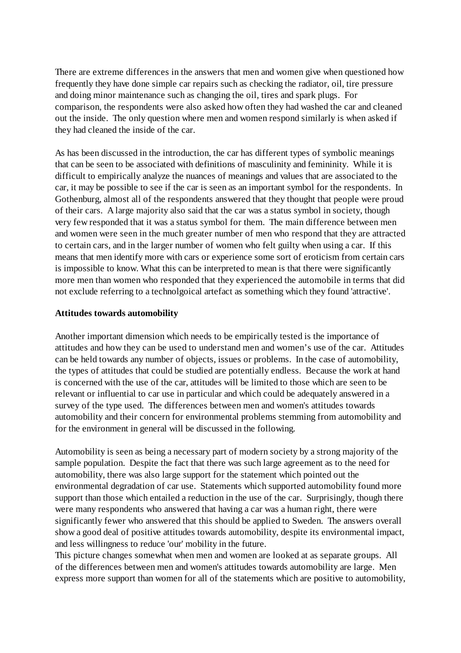There are extreme differences in the answers that men and women give when questioned how frequently they have done simple car repairs such as checking the radiator, oil, tire pressure and doing minor maintenance such as changing the oil, tires and spark plugs. For comparison, the respondents were also asked how often they had washed the car and cleaned out the inside. The only question where men and women respond similarly is when asked if they had cleaned the inside of the car.

As has been discussed in the introduction, the car has different types of symbolic meanings that can be seen to be associated with definitions of masculinity and femininity. While it is difficult to empirically analyze the nuances of meanings and values that are associated to the car, it may be possible to see if the car is seen as an important symbol for the respondents. In Gothenburg, almost all of the respondents answered that they thought that people were proud of their cars. A large majority also said that the car was a status symbol in society, though very few responded that it was a status symbol for them. The main difference between men and women were seen in the much greater number of men who respond that they are attracted to certain cars, and in the larger number of women who felt guilty when using a car. If this means that men identify more with cars or experience some sort of eroticism from certain cars is impossible to know. What this can be interpreted to mean is that there were significantly more men than women who responded that they experienced the automobile in terms that did not exclude referring to a technolgoical artefact as something which they found 'attractive'.

## **Attitudes towards automobility**

Another important dimension which needs to be empirically tested is the importance of attitudes and how they can be used to understand men and women's use of the car. Attitudes can be held towards any number of objects, issues or problems. In the case of automobility, the types of attitudes that could be studied are potentially endless. Because the work at hand is concerned with the use of the car, attitudes will be limited to those which are seen to be relevant or influential to car use in particular and which could be adequately answered in a survey of the type used. The differences between men and women's attitudes towards automobility and their concern for environmental problems stemming from automobility and for the environment in general will be discussed in the following.

Automobility is seen as being a necessary part of modern society by a strong majority of the sample population. Despite the fact that there was such large agreement as to the need for automobility, there was also large support for the statement which pointed out the environmental degradation of car use. Statements which supported automobility found more support than those which entailed a reduction in the use of the car. Surprisingly, though there were many respondents who answered that having a car was a human right, there were significantly fewer who answered that this should be applied to Sweden. The answers overall show a good deal of positive attitudes towards automobility, despite its environmental impact, and less willingness to reduce 'our' mobility in the future.

This picture changes somewhat when men and women are looked at as separate groups. All of the differences between men and women's attitudes towards automobility are large. Men express more support than women for all of the statements which are positive to automobility,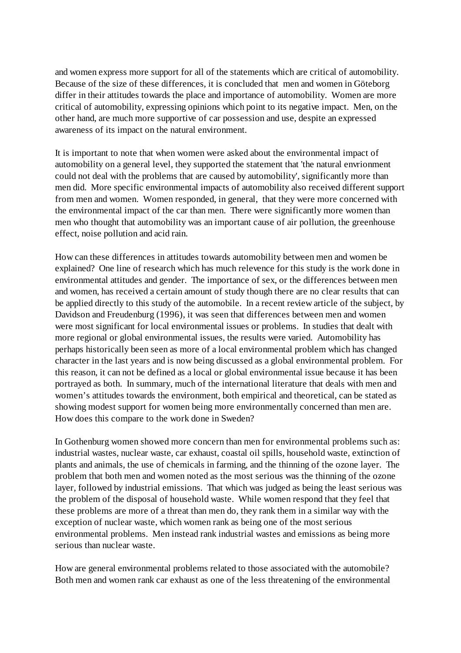and women express more support for all of the statements which are critical of automobility. Because of the size of these differences, it is concluded that men and women in Göteborg differ in their attitudes towards the place and importance of automobility. Women are more critical of automobility, expressing opinions which point to its negative impact. Men, on the other hand, are much more supportive of car possession and use, despite an expressed awareness of its impact on the natural environment.

It is important to note that when women were asked about the environmental impact of automobility on a general level, they supported the statement that 'the natural envrionment could not deal with the problems that are caused by automobility', significantly more than men did. More specific environmental impacts of automobility also received different support from men and women. Women responded, in general, that they were more concerned with the environmental impact of the car than men. There were significantly more women than men who thought that automobility was an important cause of air pollution, the greenhouse effect, noise pollution and acid rain.

How can these differences in attitudes towards automobility between men and women be explained? One line of research which has much relevence for this study is the work done in environmental attitudes and gender. The importance of sex, or the differences between men and women, has received a certain amount of study though there are no clear results that can be applied directly to this study of the automobile. In a recent review article of the subject, by Davidson and Freudenburg (1996), it was seen that differences between men and women were most significant for local environmental issues or problems. In studies that dealt with more regional or global environmental issues, the results were varied. Automobility has perhaps historically been seen as more of a local environmental problem which has changed character in the last years and is now being discussed as a global environmental problem. For this reason, it can not be defined as a local or global environmental issue because it has been portrayed as both. In summary, much of the international literature that deals with men and women's attitudes towards the environment, both empirical and theoretical, can be stated as showing modest support for women being more environmentally concerned than men are. How does this compare to the work done in Sweden?

In Gothenburg women showed more concern than men for environmental problems such as: industrial wastes, nuclear waste, car exhaust, coastal oil spills, household waste, extinction of plants and animals, the use of chemicals in farming, and the thinning of the ozone layer. The problem that both men and women noted as the most serious was the thinning of the ozone layer, followed by industrial emissions. That which was judged as being the least serious was the problem of the disposal of household waste. While women respond that they feel that these problems are more of a threat than men do, they rank them in a similar way with the exception of nuclear waste, which women rank as being one of the most serious environmental problems. Men instead rank industrial wastes and emissions as being more serious than nuclear waste.

How are general environmental problems related to those associated with the automobile? Both men and women rank car exhaust as one of the less threatening of the environmental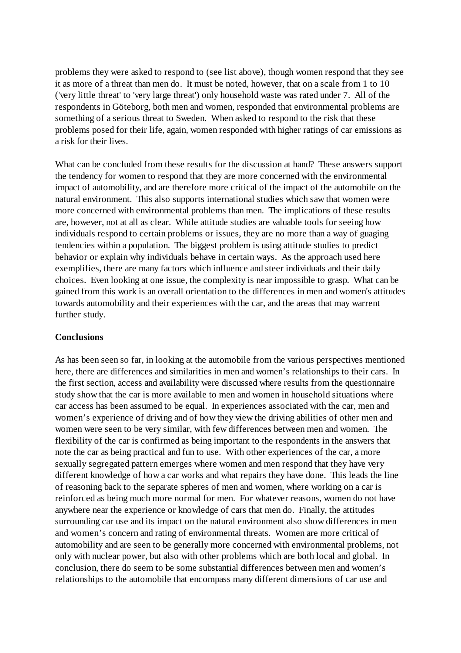problems they were asked to respond to (see list above), though women respond that they see it as more of a threat than men do. It must be noted, however, that on a scale from 1 to 10 ('very little threat' to 'very large threat') only household waste was rated under 7. All of the respondents in Göteborg, both men and women, responded that environmental problems are something of a serious threat to Sweden. When asked to respond to the risk that these problems posed for their life, again, women responded with higher ratings of car emissions as a risk for their lives.

What can be concluded from these results for the discussion at hand? These answers support the tendency for women to respond that they are more concerned with the environmental impact of automobility, and are therefore more critical of the impact of the automobile on the natural environment. This also supports international studies which saw that women were more concerned with environmental problems than men. The implications of these results are, however, not at all as clear. While attitude studies are valuable tools for seeing how individuals respond to certain problems or issues, they are no more than a way of guaging tendencies within a population. The biggest problem is using attitude studies to predict behavior or explain why individuals behave in certain ways. As the approach used here exemplifies, there are many factors which influence and steer individuals and their daily choices. Even looking at one issue, the complexity is near impossible to grasp. What can be gained from this work is an overall orientation to the differences in men and women's attitudes towards automobility and their experiences with the car, and the areas that may warrent further study.

## **Conclusions**

As has been seen so far, in looking at the automobile from the various perspectives mentioned here, there are differences and similarities in men and women's relationships to their cars. In the first section, access and availability were discussed where results from the questionnaire study show that the car is more available to men and women in household situations where car access has been assumed to be equal. In experiences associated with the car, men and women's experience of driving and of how they view the driving abilities of other men and women were seen to be very similar, with few differences between men and women. The flexibility of the car is confirmed as being important to the respondents in the answers that note the car as being practical and fun to use. With other experiences of the car, a more sexually segregated pattern emerges where women and men respond that they have very different knowledge of how a car works and what repairs they have done. This leads the line of reasoning back to the separate spheres of men and women, where working on a car is reinforced as being much more normal for men. For whatever reasons, women do not have anywhere near the experience or knowledge of cars that men do. Finally, the attitudes surrounding car use and its impact on the natural environment also show differences in men and women's concern and rating of environmental threats. Women are more critical of automobility and are seen to be generally more concerned with environmental problems, not only with nuclear power, but also with other problems which are both local and global. In conclusion, there do seem to be some substantial differences between men and women's relationships to the automobile that encompass many different dimensions of car use and